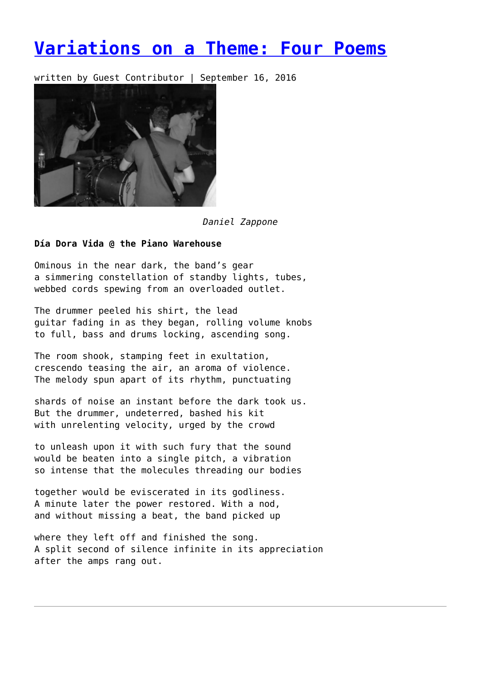# **[Variations on a Theme: Four Poems](https://entropymag.org/30121-2/)**

written by Guest Contributor | September 16, 2016



*Daniel Zappone*

## **Día Dora Vida @ the Piano Warehouse**

Ominous in the near dark, the band's gear a simmering constellation of standby lights, tubes, webbed cords spewing from an overloaded outlet.

The drummer peeled his shirt, the lead guitar fading in as they began, rolling volume knobs to full, bass and drums locking, ascending song.

The room shook, stamping feet in exultation, crescendo teasing the air, an aroma of violence. The melody spun apart of its rhythm, punctuating

shards of noise an instant before the dark took us. But the drummer, undeterred, bashed his kit with unrelenting velocity, urged by the crowd

to unleash upon it with such fury that the sound would be beaten into a single pitch, a vibration so intense that the molecules threading our bodies

together would be eviscerated in its godliness. A minute later the power restored. With a nod, and without missing a beat, the band picked up

where they left off and finished the song. A split second of silence infinite in its appreciation after the amps rang out.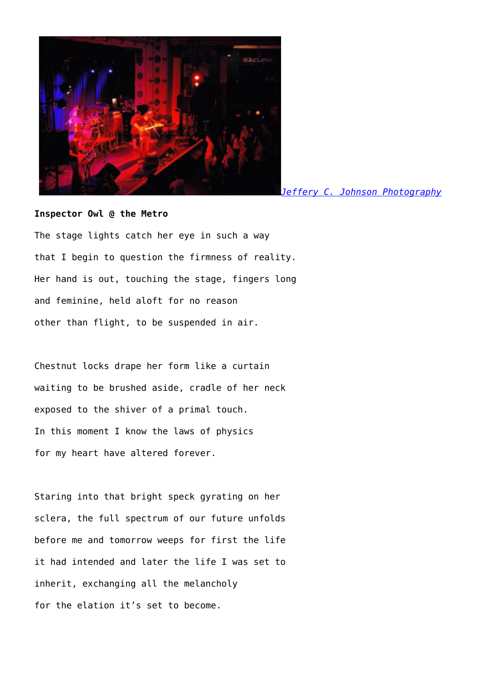

*[Jeffery C. Johnson Photography](http://jefferycjohnson.smugmug.com/)*

## **Inspector Owl @ the Metro**

The stage lights catch her eye in such a way that I begin to question the firmness of reality. Her hand is out, touching the stage, fingers long and feminine, held aloft for no reason other than flight, to be suspended in air.

Chestnut locks drape her form like a curtain waiting to be brushed aside, cradle of her neck exposed to the shiver of a primal touch. In this moment I know the laws of physics for my heart have altered forever.

Staring into that bright speck gyrating on her sclera, the full spectrum of our future unfolds before me and tomorrow weeps for first the life it had intended and later the life I was set to inherit, exchanging all the melancholy for the elation it's set to become.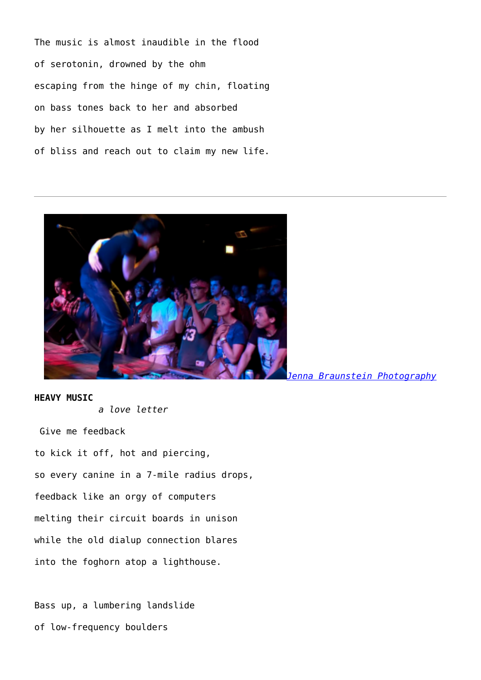The music is almost inaudible in the flood of serotonin, drowned by the ohm escaping from the hinge of my chin, floating on bass tones back to her and absorbed by her silhouette as I melt into the ambush of bliss and reach out to claim my new life.



**HEAVY MUSIC**

*a love letter*

Give me feedback to kick it off, hot and piercing, so every canine in a 7-mile radius drops, feedback like an orgy of computers melting their circuit boards in unison while the old dialup connection blares into the foghorn atop a lighthouse.

Bass up, a lumbering landslide of low-frequency boulders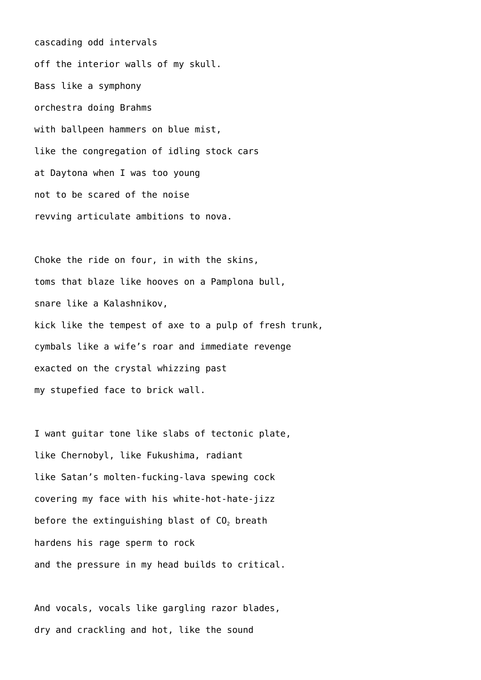cascading odd intervals off the interior walls of my skull. Bass like a symphony orchestra doing Brahms with ballpeen hammers on blue mist, like the congregation of idling stock cars at Daytona when I was too young not to be scared of the noise revving articulate ambitions to nova.

Choke the ride on four, in with the skins, toms that blaze like hooves on a Pamplona bull, snare like a Kalashnikov, kick like the tempest of axe to a pulp of fresh trunk, cymbals like a wife's roar and immediate revenge exacted on the crystal whizzing past my stupefied face to brick wall.

I want guitar tone like slabs of tectonic plate, like Chernobyl, like Fukushima, radiant like Satan's molten-fucking-lava spewing cock covering my face with his white-hot-hate-jizz before the extinguishing blast of  $CO<sub>2</sub>$  breath hardens his rage sperm to rock and the pressure in my head builds to critical.

And vocals, vocals like gargling razor blades, dry and crackling and hot, like the sound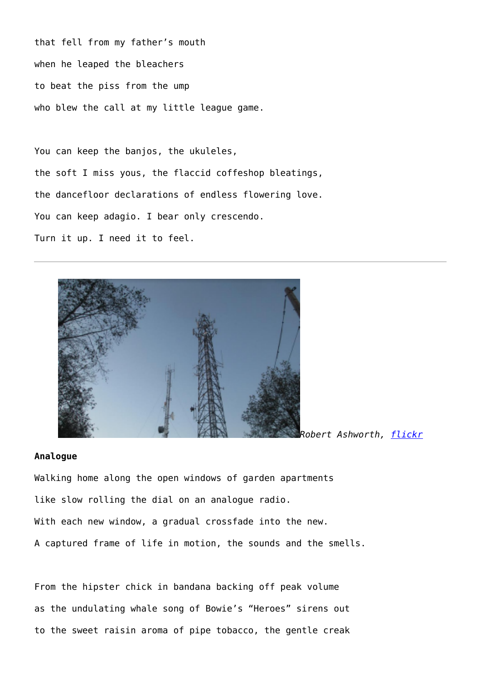that fell from my father's mouth when he leaped the bleachers to beat the piss from the ump who blew the call at my little league game.

You can keep the banjos, the ukuleles, the soft I miss yous, the flaccid coffeshop bleatings, the dancefloor declarations of endless flowering love. You can keep adagio. I bear only crescendo. Turn it up. I need it to feel.



#### *Robert Ashworth, [flickr](https://www.flickr.com/photos/theslowlane/10701484924/)*

## **Analogue**

Walking home along the open windows of garden apartments like slow rolling the dial on an analogue radio. With each new window, a gradual crossfade into the new. A captured frame of life in motion, the sounds and the smells.

From the hipster chick in bandana backing off peak volume as the undulating whale song of Bowie's "Heroes" sirens out to the sweet raisin aroma of pipe tobacco, the gentle creak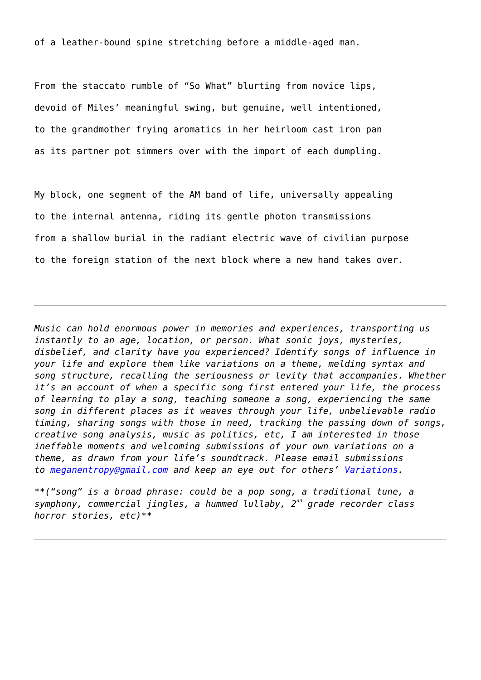of a leather-bound spine stretching before a middle-aged man.

From the staccato rumble of "So What" blurting from novice lips, devoid of Miles' meaningful swing, but genuine, well intentioned, to the grandmother frying aromatics in her heirloom cast iron pan as its partner pot simmers over with the import of each dumpling.

My block, one segment of the AM band of life, universally appealing to the internal antenna, riding its gentle photon transmissions from a shallow burial in the radiant electric wave of civilian purpose to the foreign station of the next block where a new hand takes over.

*Music can hold enormous power in memories and experiences, transporting us instantly to an age, location, or person. What sonic joys, mysteries, disbelief, and clarity have you experienced? Identify songs of influence in your life and explore them like variations on a theme, melding syntax and song structure, recalling the seriousness or levity that accompanies. Whether it's an account of when a specific song first entered your life, the process of learning to play a song, teaching someone a song, experiencing the same song in different places as it weaves through your life, unbelievable radio timing, sharing songs with those in need, tracking the passing down of songs, creative song analysis, music as politics, etc, I am interested in those ineffable moments and welcoming submissions of your own variations on a theme, as drawn from your life's soundtrack. Please email submissions to [meganentropy@gmail.com](mailto:meganentropy@gmail.com) and keep an eye out for others' [Variations.](https://entropymag.org/tag/variations-on-a-theme/)*

*\*\*("song" is a broad phrase: could be a pop song, a traditional tune, a symphony, commercial jingles, a hummed lullaby, 2nd grade recorder class horror stories, etc)\*\**